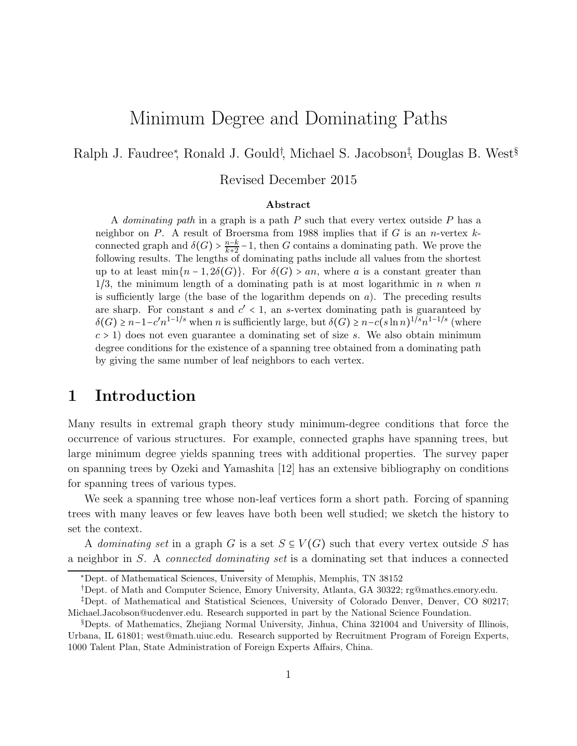# Minimum Degree and Dominating Paths

Ralph J. Faudree<sup>\*</sup>, Ronald J. Gould<sup>†</sup>, Michael S. Jacobson<sup>‡</sup>, Douglas B. West<sup>§</sup>

Revised December 2015

#### Abstract

A *dominating path* in a graph is a path  $P$  such that every vertex outside  $P$  has a neighbor on  $P$ . A result of Broersma from 1988 implies that if  $G$  is an *n*-vertex  $k$ connected graph and  $\delta(G) > \frac{n-k}{k+2} - 1$ , then G contains a dominating path. We prove the following results. The lengths of dominating paths include all values from the shortest up to at least  $\min\{n-1, 2\delta(G)\}\$ . For  $\delta(G) > an$ , where a is a constant greater than  $1/3$ , the minimum length of a dominating path is at most logarithmic in n when n is sufficiently large (the base of the logarithm depends on  $a$ ). The preceding results are sharp. For constant s and  $c' < 1$ , an s-vertex dominating path is guaranteed by  $\delta(G) \geq n-1-c'n^{1-1/s}$  when n is sufficiently large, but  $\delta(G) \geq n-c(s\ln n)^{1/s}n^{1-1/s}$  (where  $c > 1$ ) does not even guarantee a dominating set of size s. We also obtain minimum degree conditions for the existence of a spanning tree obtained from a dominating path by giving the same number of leaf neighbors to each vertex.

## 1 Introduction

Many results in extremal graph theory study minimum-degree conditions that force the occurrence of various structures. For example, connected graphs have spanning trees, but large minimum degree yields spanning trees with additional properties. The survey paper on spanning trees by Ozeki and Yamashita [12] has an extensive bibliography on conditions for spanning trees of various types.

We seek a spanning tree whose non-leaf vertices form a short path. Forcing of spanning trees with many leaves or few leaves have both been well studied; we sketch the history to set the context.

A dominating set in a graph G is a set  $S \subseteq V(G)$  such that every vertex outside S has a neighbor in S. A connected dominating set is a dominating set that induces a connected

<sup>∗</sup>Dept. of Mathematical Sciences, University of Memphis, Memphis, TN 38152

<sup>†</sup>Dept. of Math and Computer Science, Emory University, Atlanta, GA 30322; rg@mathcs.emory.edu.

<sup>‡</sup>Dept. of Mathematical and Statistical Sciences, University of Colorado Denver, Denver, CO 80217; Michael.Jacobson@ucdenver.edu. Research supported in part by the National Science Foundation.

<sup>§</sup>Depts. of Mathematics, Zhejiang Normal University, Jinhua, China 321004 and University of Illinois, Urbana, IL 61801; west@math.uiuc.edu. Research supported by Recruitment Program of Foreign Experts, 1000 Talent Plan, State Administration of Foreign Experts Affairs, China.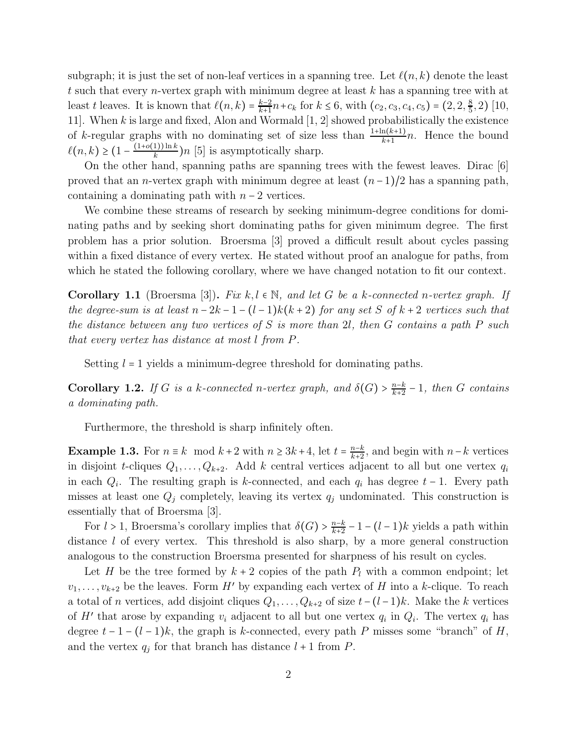subgraph; it is just the set of non-leaf vertices in a spanning tree. Let  $\ell(n,k)$  denote the least t such that every *n*-vertex graph with minimum degree at least  $k$  has a spanning tree with at least t leaves. It is known that  $\ell(n,k) = \frac{k-2}{k+1}n + c_k$  for  $k \le 6$ , with  $(c_2, c_3, c_4, c_5) = (2, 2, \frac{8}{5})$  $(\frac{8}{5}, 2)$  [10, 11]. When k is large and fixed, Alon and Wormald [1, 2] showed probabilistically the existence of k-regular graphs with no dominating set of size less than  $\frac{1+\ln(k+1)}{k+1}n$ . Hence the bound  $\ell(n,k) \geq \left(1 - \frac{(1+o(1))\ln k}{k}\right)$  $\frac{(1)}{k}$  $(n)$  [5] is asymptotically sharp.

On the other hand, spanning paths are spanning trees with the fewest leaves. Dirac [6] proved that an *n*-vertex graph with minimum degree at least  $(n-1)/2$  has a spanning path, containing a dominating path with  $n-2$  vertices.

We combine these streams of research by seeking minimum-degree conditions for dominating paths and by seeking short dominating paths for given minimum degree. The first problem has a prior solution. Broersma [3] proved a difficult result about cycles passing within a fixed distance of every vertex. He stated without proof an analogue for paths, from which he stated the following corollary, where we have changed notation to fit our context.

Corollary 1.1 (Broersma [3]). Fix k, l  $\in \mathbb{N}$ , and let G be a k-connected n-vertex graph. If the degree-sum is at least  $n-2k-1-(l-1)k(k+2)$  for any set S of  $k+2$  vertices such that the distance between any two vertices of  $S$  is more than 2l, then  $G$  contains a path  $P$  such that every vertex has distance at most l from P.

Setting  $l = 1$  yields a minimum-degree threshold for dominating paths.

**Corollary 1.2.** If G is a k-connected n-vertex graph, and  $\delta(G) > \frac{n-k}{k+2} - 1$ , then G contains a dominating path.

Furthermore, the threshold is sharp infinitely often.

**Example 1.3.** For  $n \equiv k \mod k+2$  with  $n \geq 3k+4$ , let  $t = \frac{n-k}{k+2}$  $\frac{n-k}{k+2}$ , and begin with  $n-k$  vertices in disjoint t-cliques  $Q_1, \ldots, Q_{k+2}$ . Add k central vertices adjacent to all but one vertex  $q_i$ in each  $Q_i$ . The resulting graph is k-connected, and each  $q_i$  has degree  $t-1$ . Every path misses at least one  $Q_j$  completely, leaving its vertex  $q_j$  undominated. This construction is essentially that of Broersma [3].

For  $l > 1$ , Broersma's corollary implies that  $\delta(G) > \frac{n-k}{k+2} - 1 - (l-1)k$  yields a path within distance *l* of every vertex. This threshold is also sharp, by a more general construction analogous to the construction Broersma presented for sharpness of his result on cycles.

Let H be the tree formed by  $k+2$  copies of the path  $P_l$  with a common endpoint; let  $v_1, \ldots, v_{k+2}$  be the leaves. Form H' by expanding each vertex of H into a k-clique. To reach a total of n vertices, add disjoint cliques  $Q_1, \ldots, Q_{k+2}$  of size  $t-(l-1)k$ . Make the k vertices of H' that arose by expanding  $v_i$  adjacent to all but one vertex  $q_i$  in  $Q_i$ . The vertex  $q_i$  has degree  $t-1-(l-1)k$ , the graph is k-connected, every path P misses some "branch" of H, and the vertex  $q_j$  for that branch has distance  $l + 1$  from P.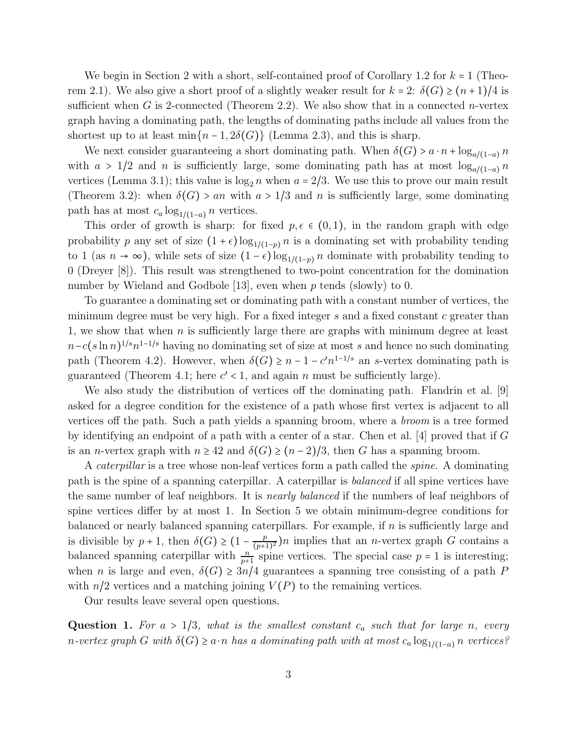We begin in Section 2 with a short, self-contained proof of Corollary 1.2 for  $k = 1$  (Theorem 2.1). We also give a short proof of a slightly weaker result for  $k = 2$ :  $\delta(G) \ge (n + 1)/4$  is sufficient when G is 2-connected (Theorem 2.2). We also show that in a connected *n*-vertex graph having a dominating path, the lengths of dominating paths include all values from the shortest up to at least min $\{n-1, 2\delta(G)\}\$  (Lemma 2.3), and this is sharp.

We next consider guaranteeing a short dominating path. When  $\delta(G) > a \cdot n + \log_{a/(1-a)} n$ with  $a > 1/2$  and n is sufficiently large, some dominating path has at most  $\log_{a/(1-a)} n$ vertices (Lemma 3.1); this value is  $\log_2 n$  when  $a = 2/3$ . We use this to prove our main result (Theorem 3.2): when  $\delta(G) > an$  with  $a > 1/3$  and n is sufficiently large, some dominating path has at most  $c_a \log_{1/(1-a)} n$  vertices.

This order of growth is sharp: for fixed  $p, \epsilon \in (0, 1)$ , in the random graph with edge probability p any set of size  $(1 + \epsilon) \log_{1/(1-p)} n$  is a dominating set with probability tending to 1 (as  $n \to \infty$ ), while sets of size  $(1 - \epsilon) \log_{1/(1-p)} n$  dominate with probability tending to 0 (Dreyer [8]). This result was strengthened to two-point concentration for the domination number by Wieland and Godbole [13], even when  $p$  tends (slowly) to 0.

To guarantee a dominating set or dominating path with a constant number of vertices, the minimum degree must be very high. For a fixed integer  $s$  and a fixed constant  $c$  greater than 1, we show that when  $n$  is sufficiently large there are graphs with minimum degree at least  $n - c(s \ln n)^{1/s} n^{1-1/s}$  having no dominating set of size at most s and hence no such dominating path (Theorem 4.2). However, when  $\delta(G) \geq n - 1 - c'n^{1-1/s}$  an s-vertex dominating path is guaranteed (Theorem 4.1; here  $c' < 1$ , and again n must be sufficiently large).

We also study the distribution of vertices off the dominating path. Flandrin et al. [9] asked for a degree condition for the existence of a path whose first vertex is adjacent to all vertices off the path. Such a path yields a spanning broom, where a broom is a tree formed by identifying an endpoint of a path with a center of a star. Chen et al. [4] proved that if  $G$ is an *n*-vertex graph with  $n \geq 42$  and  $\delta(G) \geq (n-2)/3$ , then G has a spanning broom.

A *caterpillar* is a tree whose non-leaf vertices form a path called the *spine*. A dominating path is the spine of a spanning caterpillar. A caterpillar is balanced if all spine vertices have the same number of leaf neighbors. It is *nearly balanced* if the numbers of leaf neighbors of spine vertices differ by at most 1. In Section 5 we obtain minimum-degree conditions for balanced or nearly balanced spanning caterpillars. For example, if  $n$  is sufficiently large and is divisible by  $p + 1$ , then  $\delta(G) \geq (1 - \frac{p}{(p+1)^2})$  $\frac{p}{(p+1)^2}$ )n implies that an *n*-vertex graph G contains a balanced spanning caterpillar with  $\frac{n}{p+1}$  spine vertices. The special case  $p = 1$  is interesting; when *n* is large and even,  $\delta(G) \geq 3n/4$  guarantees a spanning tree consisting of a path P with  $n/2$  vertices and a matching joining  $V(P)$  to the remaining vertices.

Our results leave several open questions.

**Question 1.** For  $a > 1/3$ , what is the smallest constant  $c_a$  such that for large n, every n-vertex graph G with  $\delta(G) \geq a \cdot n$  has a dominating path with at most  $c_a \log_{1/(1-a)} n$  vertices?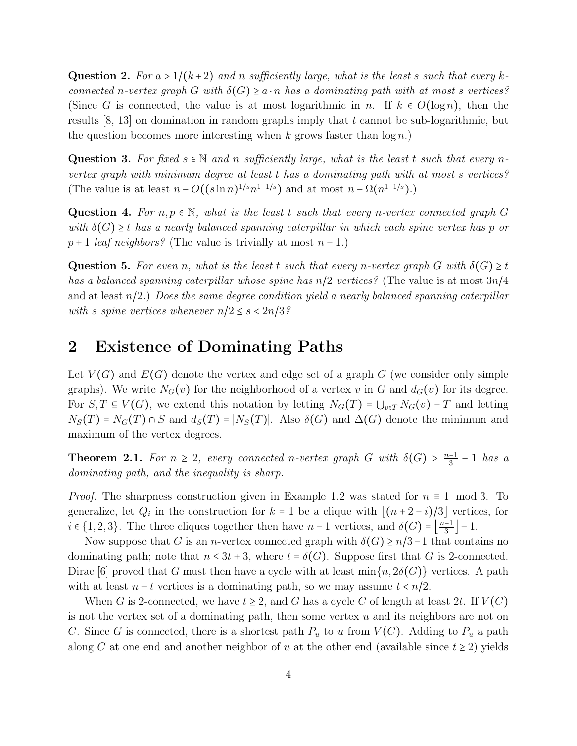**Question 2.** For  $a > 1/(k+2)$  and n sufficiently large, what is the least s such that every kconnected n-vertex graph G with  $\delta(G) \geq a \cdot n$  has a dominating path with at most s vertices? (Since G is connected, the value is at most logarithmic in n. If  $k \in O(\log n)$ , then the results  $[8, 13]$  on domination in random graphs imply that t cannot be sub-logarithmic, but the question becomes more interesting when k grows faster than  $\log n$ .

Question 3. For fixed  $s \in \mathbb{N}$  and n sufficiently large, what is the least t such that every nvertex graph with minimum degree at least t has a dominating path with at most s vertices? (The value is at least  $n - O((s \ln n)^{1/s} n^{1-1/s})$  and at most  $n - \Omega(n^{1-1/s})$ .)

Question 4. For  $n, p \in \mathbb{N}$ , what is the least t such that every n-vertex connected graph G with  $\delta(G) \geq t$  has a nearly balanced spanning caterpillar in which each spine vertex has p or  $p+1$  leaf neighbors? (The value is trivially at most  $n-1$ .)

**Question 5.** For even n, what is the least t such that every n-vertex graph G with  $\delta(G) \geq t$ has a balanced spanning caterpillar whose spine has  $n/2$  vertices? (The value is at most  $3n/4$ and at least  $n/2$ .) Does the same degree condition yield a nearly balanced spanning caterpillar with s spine vertices whenever  $n/2 \leq s < 2n/3$ ?

### 2 Existence of Dominating Paths

Let  $V(G)$  and  $E(G)$  denote the vertex and edge set of a graph G (we consider only simple graphs). We write  $N_G(v)$  for the neighborhood of a vertex v in G and  $d_G(v)$  for its degree. For  $S, T \subseteq V(G)$ , we extend this notation by letting  $N_G(T) = \bigcup_{v \in T} N_G(v) - T$  and letting  $N_S(T) = N_G(T) \cap S$  and  $d_S(T) = |N_S(T)|$ . Also  $\delta(G)$  and  $\Delta(G)$  denote the minimum and maximum of the vertex degrees.

**Theorem 2.1.** For  $n \geq 2$ , every connected n-vertex graph G with  $\delta(G) > \frac{n-1}{3} - 1$  has a dominating path, and the inequality is sharp.

*Proof.* The sharpness construction given in Example 1.2 was stated for  $n \equiv 1 \mod 3$ . To generalize, let  $Q_i$  in the construction for  $k = 1$  be a clique with  $\lfloor (n + 2 - i)/3 \rfloor$  vertices, for  $i \in \{1,2,3\}$ . The three cliques together then have  $n-1$  vertices, and  $\delta(G) = \frac{n-1}{3}$  $\frac{-1}{3}$  | - 1.

Now suppose that G is an n-vertex connected graph with  $\delta(G) \geq n/3-1$  that contains no dominating path; note that  $n \leq 3t + 3$ , where  $t = \delta(G)$ . Suppose first that G is 2-connected. Dirac [6] proved that G must then have a cycle with at least  $\min\{n, 2\delta(G)\}\)$  vertices. A path with at least  $n - t$  vertices is a dominating path, so we may assume  $t < n/2$ .

When G is 2-connected, we have  $t \geq 2$ , and G has a cycle C of length at least 2t. If  $V(C)$ is not the vertex set of a dominating path, then some vertex  $u$  and its neighbors are not on C. Since G is connected, there is a shortest path  $P_u$  to u from  $V(C)$ . Adding to  $P_u$  a path along C at one end and another neighbor of u at the other end (available since  $t \geq 2$ ) yields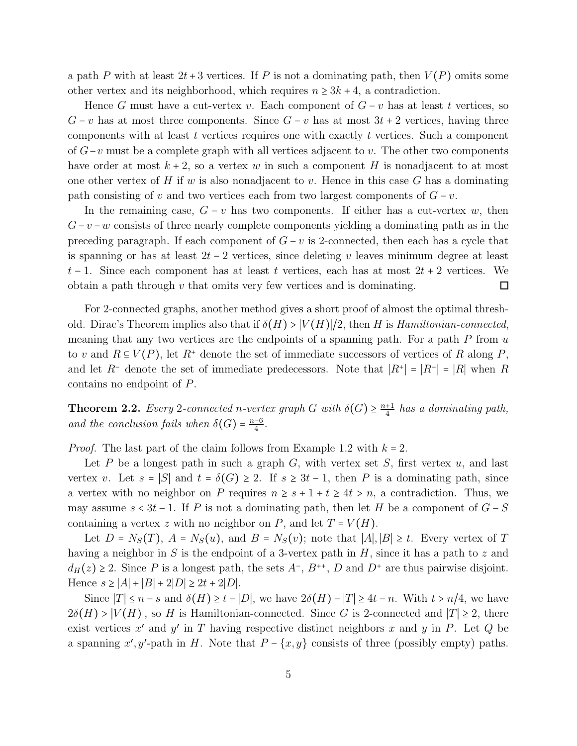a path P with at least  $2t + 3$  vertices. If P is not a dominating path, then  $V(P)$  omits some other vertex and its neighborhood, which requires  $n \geq 3k + 4$ , a contradiction.

Hence G must have a cut-vertex v. Each component of  $G - v$  has at least t vertices, so  $G - v$  has at most three components. Since  $G - v$  has at most  $3t + 2$  vertices, having three components with at least  $t$  vertices requires one with exactly  $t$  vertices. Such a component of  $G-v$  must be a complete graph with all vertices adjacent to v. The other two components have order at most  $k + 2$ , so a vertex w in such a component H is nonadjacent to at most one other vertex of  $H$  if  $w$  is also nonadjacent to  $v$ . Hence in this case  $G$  has a dominating path consisting of v and two vertices each from two largest components of  $G - v$ .

In the remaining case,  $G - v$  has two components. If either has a cut-vertex w, then  $G-v-w$  consists of three nearly complete components yielding a dominating path as in the preceding paragraph. If each component of  $G - v$  is 2-connected, then each has a cycle that is spanning or has at least  $2t - 2$  vertices, since deleting v leaves minimum degree at least t − 1. Since each component has at least t vertices, each has at most  $2t + 2$  vertices. We obtain a path through  $v$  that omits very few vertices and is dominating.  $\Box$ 

For 2-connected graphs, another method gives a short proof of almost the optimal threshold. Dirac's Theorem implies also that if  $\delta(H) > |V(H)|/2$ , then H is Hamiltonian-connected, meaning that any two vertices are the endpoints of a spanning path. For a path  $P$  from  $u$ to v and  $R \subseteq V(P)$ , let  $R^+$  denote the set of immediate successors of vertices of R along P, and let R<sup>-</sup> denote the set of immediate predecessors. Note that  $|R^+| = |R^-| = |R|$  when R contains no endpoint of P.

**Theorem 2.2.** Every 2-connected n-vertex graph G with  $\delta(G) \geq \frac{n+1}{4}$  $\frac{+1}{4}$  has a dominating path, and the conclusion fails when  $\delta(G) = \frac{n-6}{4}$  $\frac{-6}{4}$ .

*Proof.* The last part of the claim follows from Example 1.2 with  $k = 2$ .

Let P be a longest path in such a graph G, with vertex set S, first vertex u, and last vertex v. Let  $s = |S|$  and  $t = \delta(G) \geq 2$ . If  $s \geq 3t - 1$ , then P is a dominating path, since a vertex with no neighbor on P requires  $n \geq s + 1 + t \geq 4t > n$ , a contradiction. Thus, we may assume  $s < 3t - 1$ . If P is not a dominating path, then let H be a component of  $G - S$ containing a vertex z with no neighbor on P, and let  $T = V(H)$ .

Let  $D = N_S(T)$ ,  $A = N_S(u)$ , and  $B = N_S(v)$ ; note that  $|A|, |B| \ge t$ . Every vertex of T having a neighbor in S is the endpoint of a 3-vertex path in H, since it has a path to z and  $d_H(z) \geq 2$ . Since P is a longest path, the sets  $A^-$ ,  $B^{++}$ , D and  $D^+$  are thus pairwise disjoint. Hence  $s \ge |A| + |B| + 2|D| \ge 2t + 2|D|$ .

Since  $|T| \leq n - s$  and  $\delta(H) \geq t - |D|$ , we have  $2\delta(H) - |T| \geq 4t - n$ . With  $t > n/4$ , we have  $2\delta(H) > |V(H)|$ , so H is Hamiltonian-connected. Since G is 2-connected and  $|T| \geq 2$ , there exist vertices  $x'$  and  $y'$  in T having respective distinct neighbors x and y in P. Let Q be a spanning x', y'-path in H. Note that  $P - \{x, y\}$  consists of three (possibly empty) paths.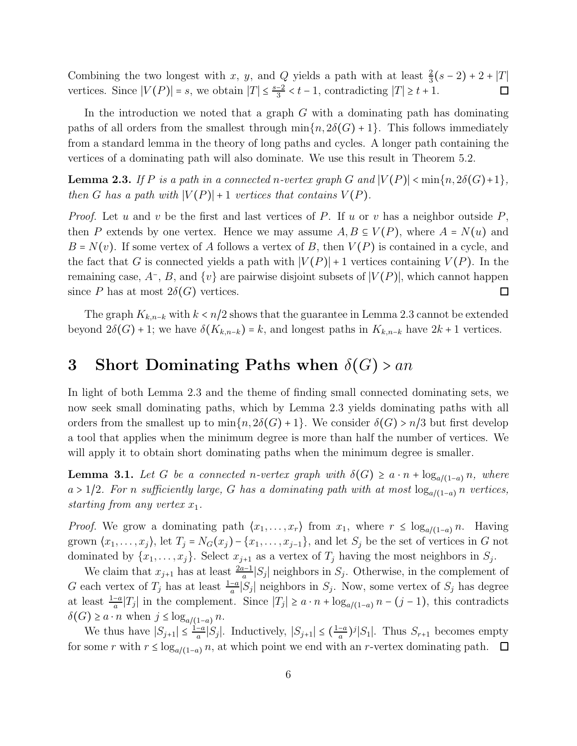Combining the two longest with x, y, and Q yields a path with at least  $\frac{2}{3}(s-2) + 2 + |T|$  $\frac{-2}{3} < t - 1$ , contradicting  $|T| \geq t + 1$ . vertices. Since  $|V(P)| = s$ , we obtain  $|T| \leq \frac{s-2}{3}$  $\Box$ 

In the introduction we noted that a graph  $G$  with a dominating path has dominating paths of all orders from the smallest through  $\min\{n, 2\delta(G) + 1\}$ . This follows immediately from a standard lemma in the theory of long paths and cycles. A longer path containing the vertices of a dominating path will also dominate. We use this result in Theorem 5.2.

**Lemma 2.3.** If P is a path in a connected n-vertex graph G and  $|V(P)| < min\{n, 2\delta(G)+1\}$ , then G has a path with  $|V(P)|+1$  vertices that contains  $V(P)$ .

*Proof.* Let u and v be the first and last vertices of P. If u or v has a neighbor outside  $P$ , then P extends by one vertex. Hence we may assume  $A, B \subseteq V(P)$ , where  $A = N(u)$  and  $B = N(v)$ . If some vertex of A follows a vertex of B, then  $V(P)$  is contained in a cycle, and the fact that G is connected yields a path with  $|V(P)|+1$  vertices containing  $V(P)$ . In the remaining case,  $A^-$ , B, and  $\{v\}$  are pairwise disjoint subsets of  $|V(P)|$ , which cannot happen since P has at most  $2\delta(G)$  vertices.  $\Box$ 

The graph  $K_{k,n-k}$  with  $k < n/2$  shows that the guarantee in Lemma 2.3 cannot be extended beyond  $2\delta(G)$  + 1; we have  $\delta(K_{k,n-k}) = k$ , and longest paths in  $K_{k,n-k}$  have  $2k+1$  vertices.

## 3 Short Dominating Paths when  $\delta(G)$  > an

In light of both Lemma 2.3 and the theme of finding small connected dominating sets, we now seek small dominating paths, which by Lemma 2.3 yields dominating paths with all orders from the smallest up to  $\min\{n, 2\delta(G) + 1\}$ . We consider  $\delta(G) > n/3$  but first develop a tool that applies when the minimum degree is more than half the number of vertices. We will apply it to obtain short dominating paths when the minimum degree is smaller.

**Lemma 3.1.** Let G be a connected n-vertex graph with  $\delta(G) \ge a \cdot n + \log_{a/(1-a)} n$ , where a > 1/2. For n sufficiently large, G has a dominating path with at most  $\log_{a/(1-a)} n$  vertices, starting from any vertex  $x_1$ .

*Proof.* We grow a dominating path  $\langle x_1, \ldots, x_r \rangle$  from  $x_1$ , where  $r \leq \log_{a/(1-a)} n$ . Having grown  $\langle x_1, \ldots, x_j \rangle$ , let  $T_j = N_G(x_j) - \{x_1, \ldots, x_{j-1}\}$ , and let  $S_j$  be the set of vertices in G not dominated by  $\{x_1, \ldots, x_j\}$ . Select  $x_{j+1}$  as a vertex of  $T_j$  having the most neighbors in  $S_j$ .

We claim that  $x_{j+1}$  has at least  $\frac{2a-1}{a}|S_j|$  neighbors in  $S_j$ . Otherwise, in the complement of G each vertex of  $T_j$  has at least  $\frac{1-a}{a}|S_j|$  neighbors in  $S_j$ . Now, some vertex of  $S_j$  has degree at least  $\frac{1-a}{a}|T_j|$  in the complement. Since  $|T_j| \ge a \cdot n + \log_{a/(1-a)} n - (j-1)$ , this contradicts  $\delta(G) \geq a \cdot n$  when  $j \leq \log_{a/(1-a)} n$ .

We thus have  $|S_{j+1}| \leq \frac{1-a}{a}$  $\frac{-a}{a}|S_j|$ . Inductively,  $|S_{j+1}| \leq (\frac{1-a}{a})$  $\frac{-a}{a}$ )<sup>j</sup>|S<sub>1</sub>|. Thus  $S_{r+1}$  becomes empty for some r with  $r \leq \log_{a/(1-a)} n$ , at which point we end with an r-vertex dominating path.  $\Box$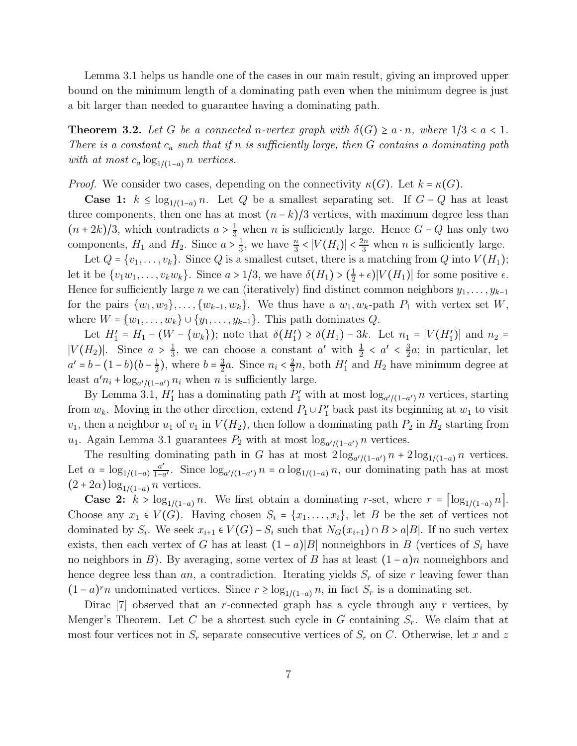Lemma 3.1 helps us handle one of the cases in our main result, giving an improved upper bound on the minimum length of a dominating path even when the minimum degree is just a bit larger than needed to guarantee having a dominating path.

**Theorem 3.2.** Let G be a connected n-vertex graph with  $\delta(G) \ge a \cdot n$ , where  $1/3 < a < 1$ . There is a constant  $c_a$  such that if n is sufficiently large, then G contains a dominating path with at most  $c_a \log_{1/(1-a)} n$  vertices.

*Proof.* We consider two cases, depending on the connectivity  $\kappa(G)$ . Let  $k = \kappa(G)$ .

Case 1:  $k$  ≤ log<sub>1/(1-a)</sub> n. Let Q be a smallest separating set. If  $G-Q$  has at least three components, then one has at most  $(n-k)/3$  vertices, with maximum degree less than  $(n+2k)/3$ , which contradicts  $a > \frac{1}{3}$  when n is sufficiently large. Hence  $G - Q$  has only two components,  $H_1$  and  $H_2$ . Since  $a > \frac{1}{3}$  $\frac{1}{3}$ , we have  $\frac{n}{3}$  <  $|V(H_i)|$  <  $\frac{2n}{3}$  when *n* is sufficiently large.

Let  $Q = \{v_1, \ldots, v_k\}$ . Since Q is a smallest cutset, there is a matching from Q into  $V(H_1)$ ; let it be  $\{v_1w_1, \ldots, v_kw_k\}$ . Since  $a > 1/3$ , we have  $\delta(H_1) > (\frac{1}{2})$  $\frac{1}{2} + \epsilon$ )| $V(H_1)$ | for some positive  $\epsilon$ . Hence for sufficiently large *n* we can (iteratively) find distinct common neighbors  $y_1, \ldots, y_{k-1}$ for the pairs  $\{w_1, w_2\}, \ldots, \{w_{k-1}, w_k\}$ . We thus have a  $w_1, w_k$ -path  $P_1$  with vertex set W, where  $W = \{w_1, \ldots, w_k\} \cup \{y_1, \ldots, y_{k-1}\}.$  This path dominates  $Q$ .

Let  $H'_1 = H_1 - (W - \{w_k\})$ ; note that  $\delta(H'_1) \ge \delta(H_1) - 3k$ . Let  $n_1 = |V(H'_1)|$  and  $n_2 =$  $|V(H_2)|$ . Since  $a > \frac{1}{3}$  $\frac{1}{3}$ , we can choose a constant a' with  $\frac{1}{2} < a' < \frac{3}{2}$  $\frac{3}{2}a$ ; in particular, let  $a' = b - (1 - b)(b - \frac{1}{2})$  $(\frac{1}{2})$ , where  $b = \frac{3}{2}$  $\frac{3}{2}a$ . Since  $n_i < \frac{2}{3}$  $\frac{2}{3}n$ , both  $H'_1$  and  $H_2$  have minimum degree at least  $a'n_i + \log_{a'/(1-a')} n_i$  when n is sufficiently large.

By Lemma 3.1,  $H'_1$  has a dominating path  $P'_1$  with at most  $\log_{a'/(1-a')} n$  vertices, starting from  $w_k$ . Moving in the other direction, extend  $P_1 \cup P'_1$  back past its beginning at  $w_1$  to visit  $v_1$ , then a neighbor  $u_1$  of  $v_1$  in  $V(H_2)$ , then follow a dominating path  $P_2$  in  $H_2$  starting from  $u_1$ . Again Lemma 3.1 guarantees  $P_2$  with at most  $\log_{a'/(1-a')} n$  vertices.

The resulting dominating path in G has at most  $2\log_{a'/(1-a')} n + 2\log_{1/(1-a)} n$  vertices. Let  $\alpha = \log_{1/(1-a)} \frac{a'}{1-a}$  $\frac{a'}{1-a'}$ . Since  $\log_{a'/(1-a')} n = \alpha \log_{1/(1-a)} n$ , our dominating path has at most  $(2+2\alpha) \log_{1/(1-a)} n$  vertices.

**Case 2:**  $k > \log_{1/(1-a)} n$ . We first obtain a dominating r-set, where  $r = \log_{1/(1-a)} n$ . Choose any  $x_1 \in V(G)$ . Having chosen  $S_i = \{x_1, \ldots, x_i\}$ , let B be the set of vertices not dominated by  $S_i$ . We seek  $x_{i+1} \in V(G) - S_i$  such that  $N_G(x_{i+1}) \cap B > a|B|$ . If no such vertex exists, then each vertex of G has at least  $(1 - a)|B|$  nonneighbors in B (vertices of  $S_i$  have no neighbors in B). By averaging, some vertex of B has at least  $(1-a)n$  nonneighbors and hence degree less than  $an$ , a contradiction. Iterating yields  $S_r$  of size r leaving fewer than  $(1-a)^{r}n$  undominated vertices. Since  $r \geq \log_{1/(1-a)} n$ , in fact  $S_r$  is a dominating set.

Dirac  $[7]$  observed that an r-connected graph has a cycle through any r vertices, by Menger's Theorem. Let C be a shortest such cycle in G containing  $S_r$ . We claim that at most four vertices not in  $S_r$  separate consecutive vertices of  $S_r$  on C. Otherwise, let x and z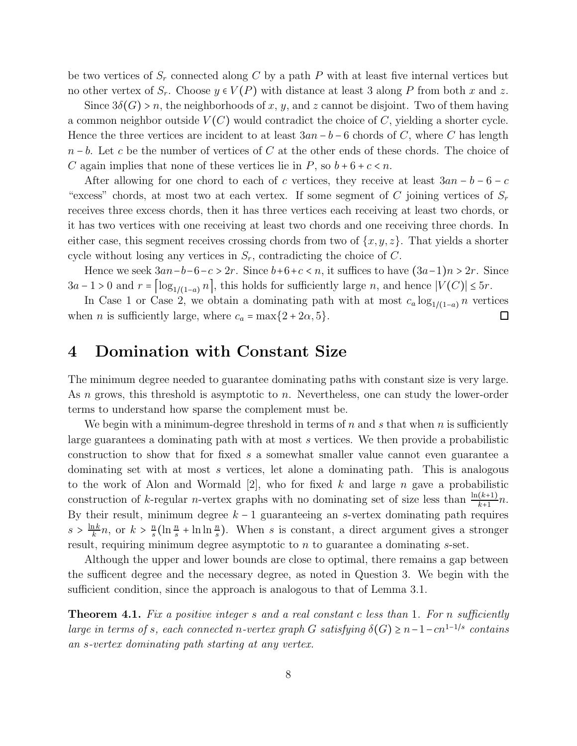be two vertices of  $S_r$  connected along C by a path P with at least five internal vertices but no other vertex of  $S_r$ . Choose  $y \in V(P)$  with distance at least 3 along P from both x and z.

Since  $3\delta(G) > n$ , the neighborhoods of x, y, and z cannot be disjoint. Two of them having a common neighbor outside  $V(C)$  would contradict the choice of C, yielding a shorter cycle. Hence the three vertices are incident to at least  $3an - b - 6$  chords of C, where C has length  $n - b$ . Let c be the number of vertices of C at the other ends of these chords. The choice of C again implies that none of these vertices lie in P, so  $b + 6 + c < n$ .

After allowing for one chord to each of c vertices, they receive at least  $3an - b - 6 - c$ "excess" chords, at most two at each vertex. If some segment of C joining vertices of  $S_r$ receives three excess chords, then it has three vertices each receiving at least two chords, or it has two vertices with one receiving at least two chords and one receiving three chords. In either case, this segment receives crossing chords from two of  $\{x, y, z\}$ . That yields a shorter cycle without losing any vertices in  $S_r$ , contradicting the choice of C.

Hence we seek  $3an-b-6-c > 2r$ . Since  $b+6+c < n$ , it suffices to have  $(3a-1)n > 2r$ . Since  $3a - 1 > 0$  and  $r = \left[\log_{1/(1-a)} n\right]$ , this holds for sufficiently large n, and hence  $|V(C)| \leq 5r$ .

In Case 1 or Case 2, we obtain a dominating path with at most  $c_a \log_{1/(1-a)} n$  vertices when *n* is sufficiently large, where  $c_a = \max\{2 + 2\alpha, 5\}.$  $\Box$ 

#### 4 Domination with Constant Size

The minimum degree needed to guarantee dominating paths with constant size is very large. As n grows, this threshold is asymptotic to n. Nevertheless, one can study the lower-order terms to understand how sparse the complement must be.

We begin with a minimum-degree threshold in terms of n and s that when n is sufficiently large guarantees a dominating path with at most s vertices. We then provide a probabilistic construction to show that for fixed s a somewhat smaller value cannot even guarantee a dominating set with at most s vertices, let alone a dominating path. This is analogous to the work of Alon and Wormald  $[2]$ , who for fixed k and large n gave a probabilistic construction of k-regular n-vertex graphs with no dominating set of size less than  $\frac{\ln(k+1)}{k+1}n$ . By their result, minimum degree  $k - 1$  guaranteeing an s-vertex dominating path requires  $s > \frac{\ln k}{k}$  $\frac{nk}{k}n$ , or  $k > \frac{n}{s}$  $\frac{n}{s}$ (ln  $\frac{n}{s}$  + ln ln  $\frac{n}{s}$ ). When s is constant, a direct argument gives a stronger result, requiring minimum degree asymptotic to n to guarantee a dominating s-set.

Although the upper and lower bounds are close to optimal, there remains a gap between the sufficent degree and the necessary degree, as noted in Question 3. We begin with the sufficient condition, since the approach is analogous to that of Lemma 3.1.

Theorem 4.1. Fix a positive integer s and a real constant c less than 1. For n sufficiently large in terms of s, each connected n-vertex graph G satisfying  $\delta(G) \geq n-1-cn^{1-1/s}$  contains an s-vertex dominating path starting at any vertex.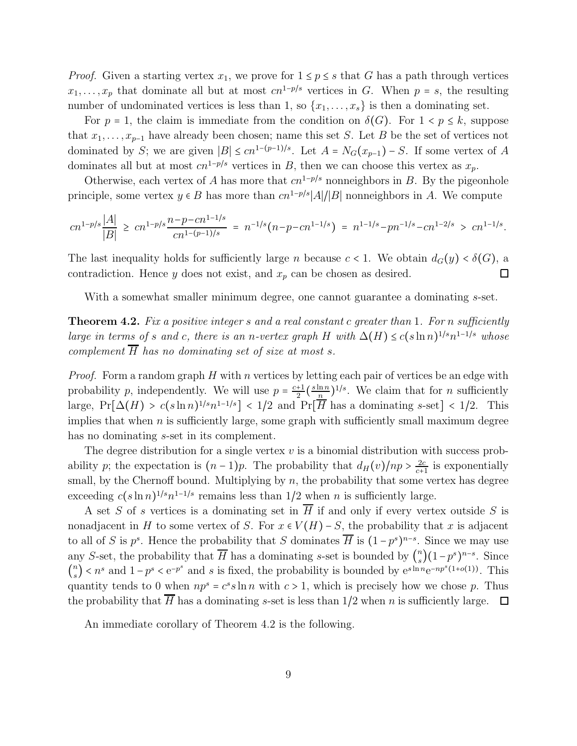*Proof.* Given a starting vertex  $x_1$ , we prove for  $1 \leq p \leq s$  that G has a path through vertices  $x_1, \ldots, x_p$  that dominate all but at most  $cn^{1-p/s}$  vertices in G. When  $p = s$ , the resulting number of undominated vertices is less than 1, so  $\{x_1, \ldots, x_s\}$  is then a dominating set.

For  $p = 1$ , the claim is immediate from the condition on  $\delta(G)$ . For  $1 \le p \le k$ , suppose that  $x_1, \ldots, x_{p-1}$  have already been chosen; name this set S. Let B be the set of vertices not dominated by S; we are given  $|B| \leq cn^{1-(p-1)/s}$ . Let  $A = N_G(x_{p-1}) - S$ . If some vertex of A dominates all but at most  $cn^{1-p/s}$  vertices in B, then we can choose this vertex as  $x_p$ .

Otherwise, each vertex of A has more that  $cn^{1-p/s}$  nonneighbors in B. By the pigeonhole principle, some vertex  $y \in B$  has more than  $cn^{1-p/s} |A|/|B|$  nonneighbors in A. We compute

$$
cn^{1-p/s}\frac{|A|}{|B|} \ge cn^{1-p/s}\frac{n-p-cn^{1-1/s}}{cn^{1-(p-1)/s}} = n^{-1/s}(n-p-cn^{1-1/s}) = n^{1-1/s}-pn^{-1/s}-cn^{1-2/s} > cn^{1-1/s}.
$$

The last inequality holds for sufficiently large n because  $c < 1$ . We obtain  $d_G(y) < \delta(G)$ , a contradiction. Hence y does not exist, and  $x_p$  can be chosen as desired.  $\Box$ 

With a somewhat smaller minimum degree, one cannot guarantee a dominating s-set.

**Theorem 4.2.** Fix a positive integer s and a real constant c greater than 1. For n sufficiently large in terms of s and c, there is an n-vertex graph H with  $\Delta(H) \le c(s \ln n)^{1/s} n^{1-1/s}$  whose complement  $\overline{H}$  has no dominating set of size at most s.

*Proof.* Form a random graph H with n vertices by letting each pair of vertices be an edge with probability p, independently. We will use  $p = \frac{c+1}{2}$  $rac{+1}{2}(\frac{s \ln n}{n}$  $\frac{\ln n}{n}$ )<sup>1/s</sup>. We claim that for *n* sufficiently large,  $Pr[\Delta(H) > c(s \ln n)^{1/s} n^{1-1/s}] < 1/2$  and  $Pr[\overline{H}$  has a dominating s-set] < 1/2. This implies that when  $n$  is sufficiently large, some graph with sufficiently small maximum degree has no dominating *s*-set in its complement.

The degree distribution for a single vertex  $v$  is a binomial distribution with success probability p; the expectation is  $(n-1)p$ . The probability that  $d_H(v)/np > \frac{2c}{c+1}$  $\frac{2c}{c+1}$  is exponentially small, by the Chernoff bound. Multiplying by  $n$ , the probability that some vertex has degree exceeding  $c(s \ln n)^{1/s} n^{1-1/s}$  remains less than 1/2 when *n* is sufficiently large.

A set S of s vertices is a dominating set in  $\overline{H}$  if and only if every vertex outside S is nonadjacent in H to some vertex of S. For  $x \in V(H) - S$ , the probability that x is adjacent to all of S is  $p^s$ . Hence the probability that S dominates  $\overline{H}$  is  $(1-p^s)^{n-s}$ . Since we may use any S-set, the probability that  $\overline{H}$  has a dominating s-set is bounded by  $\binom{n}{s}$  $\binom{n}{s}(1-p^s)^{n-s}$ . Since  $\binom{n}{s}$  $s(s)$  < n<sup>s</sup> and 1 - p<sup>s</sup> < e<sup>-p<sup>s</sup> and s is fixed, the probability is bounded by e<sup>slnn</sup>e<sup>-np<sup>s</sup>(1+o(1)). This</sup></sup> quantity tends to 0 when  $np^s = c^s s \ln n$  with  $c > 1$ , which is precisely how we chose p. Thus the probability that  $\overline{H}$  has a dominating s-set is less than 1/2 when n is sufficiently large.  $\Box$ 

An immediate corollary of Theorem 4.2 is the following.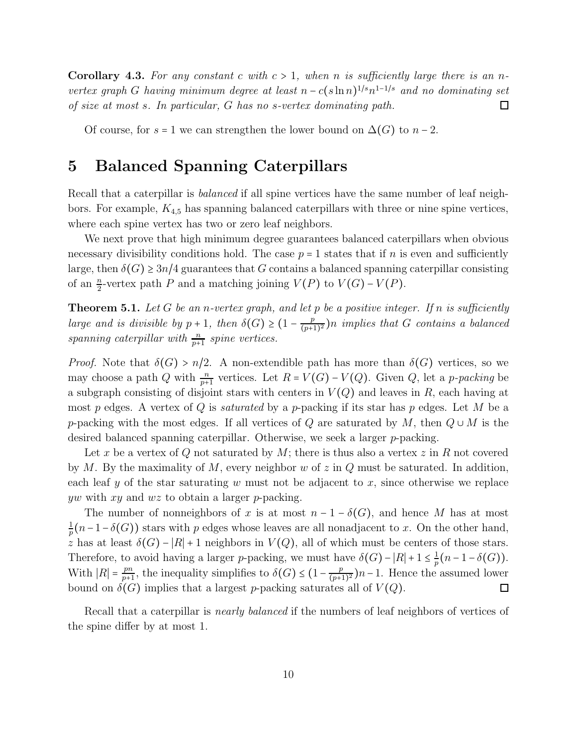**Corollary 4.3.** For any constant c with  $c > 1$ , when n is sufficiently large there is an nvertex graph G having minimum degree at least  $n - c(\sin n)^{1/s} n^{1-1/s}$  and no dominating set of size at most s. In particular, G has no s-vertex dominating path.  $\Box$ 

Of course, for  $s = 1$  we can strengthen the lower bound on  $\Delta(G)$  to  $n-2$ .

### 5 Balanced Spanning Caterpillars

Recall that a caterpillar is *balanced* if all spine vertices have the same number of leaf neighbors. For example,  $K_{4,5}$  has spanning balanced caterpillars with three or nine spine vertices, where each spine vertex has two or zero leaf neighbors.

We next prove that high minimum degree guarantees balanced caterpillars when obvious necessary divisibility conditions hold. The case  $p = 1$  states that if n is even and sufficiently large, then  $\delta(G) \geq 3n/4$  guarantees that G contains a balanced spanning caterpillar consisting of an  $\frac{n}{2}$ -vertex path P and a matching joining  $V(P)$  to  $V(G) - V(P)$ .

**Theorem 5.1.** Let G be an n-vertex graph, and let p be a positive integer. If n is sufficiently large and is divisible by  $p + 1$ , then  $\delta(G) \geq (1 - \frac{p}{(p+1)^2})$  $\frac{p}{(p+1)^2}$ )n implies that G contains a balanced spanning caterpillar with  $\frac{n}{p+1}$  spine vertices.

*Proof.* Note that  $\delta(G) > n/2$ . A non-extendible path has more than  $\delta(G)$  vertices, so we may choose a path Q with  $\frac{n}{p+1}$  vertices. Let  $R = V(G) - V(Q)$ . Given Q, let a p-packing be a subgraph consisting of disjoint stars with centers in  $V(Q)$  and leaves in R, each having at most p edges. A vertex of Q is *saturated* by a p-packing if its star has p edges. Let M be a p-packing with the most edges. If all vertices of Q are saturated by M, then  $Q \cup M$  is the desired balanced spanning caterpillar. Otherwise, we seek a larger p-packing.

Let x be a vertex of Q not saturated by M; there is thus also a vertex  $z$  in R not covered by M. By the maximality of M, every neighbor w of  $z$  in  $Q$  must be saturated. In addition, each leaf y of the star saturating w must not be adjacent to x, since otherwise we replace yw with xy and  $wz$  to obtain a larger p-packing.

The number of nonneighbors of x is at most  $n-1-\delta(G)$ , and hence M has at most  $\frac{1}{p}(n-1-\delta(G))$  stars with p edges whose leaves are all nonadjacent to x. On the other hand, 1 z has at least  $\delta(G) - |R| + 1$  neighbors in  $V(Q)$ , all of which must be centers of those stars. Therefore, to avoid having a larger p-packing, we must have  $\delta(G) - |R| + 1 \leq \frac{1}{n}$  $\frac{1}{p}(n-1-\delta(G)).$ With  $|R| = \frac{pn}{p+1}$  $\frac{pn}{p+1}$ , the inequality simplifies to  $\delta(G) \leq (1 - \frac{p}{(p+1)})$  $\frac{p}{(p+1)^2}$ )n – 1. Hence the assumed lower bound on  $\delta(G)$  implies that a largest p-packing saturates all of  $V(Q)$ .  $\Box$ 

Recall that a caterpillar is *nearly balanced* if the numbers of leaf neighbors of vertices of the spine differ by at most 1.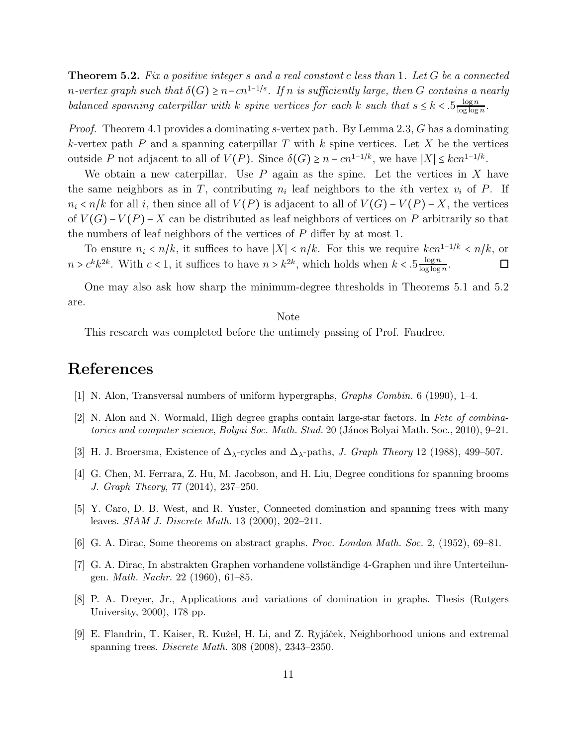**Theorem 5.2.** Fix a positive integer s and a real constant c less than 1. Let  $G$  be a connected n-vertex graph such that  $\delta(G) \geq n - cn^{1-1/s}$ . If n is sufficiently large, then G contains a nearly balanced spanning caterpillar with k spine vertices for each k such that  $s \leq k < 0.5 \frac{\log n}{\log \log n}$  $\frac{\log n}{\log \log n}$ .

Proof. Theorem 4.1 provides a dominating s-vertex path. By Lemma 2.3, G has a dominating k-vertex path  $P$  and a spanning caterpillar  $T$  with  $k$  spine vertices. Let  $X$  be the vertices outside P not adjacent to all of  $V(P)$ . Since  $\delta(G) \geq n - cn^{1-1/k}$ , we have  $|X| \leq kcn^{1-1/k}$ .

We obtain a new caterpillar. Use  $P$  again as the spine. Let the vertices in  $X$  have the same neighbors as in T, contributing  $n_i$  leaf neighbors to the *i*th vertex  $v_i$  of P. If  $n_i < n/k$  for all i, then since all of  $V(P)$  is adjacent to all of  $V(G) - V(P) - X$ , the vertices of  $V(G) - V(P) - X$  can be distributed as leaf neighbors of vertices on P arbitrarily so that the numbers of leaf neighbors of the vertices of P differ by at most 1.

To ensure  $n_i < n/k$ , it suffices to have  $|X| < n/k$ . For this we require  $kcn^{1-1/k} < n/k$ , or  $n > c^k k^{2k}$ . With  $c < 1$ , it suffices to have  $n > k^{2k}$ , which holds when  $k < .5 \frac{\log n}{\log \log n}$  $\frac{\log n}{\log \log n}$ . 口

One may also ask how sharp the minimum-degree thresholds in Theorems 5.1 and 5.2 are.

#### Note

This research was completed before the untimely passing of Prof. Faudree.

## References

- [1] N. Alon, Transversal numbers of uniform hypergraphs, Graphs Combin. 6 (1990), 1–4.
- [2] N. Alon and N. Wormald, High degree graphs contain large-star factors. In Fete of combinatorics and computer science, Bolyai Soc. Math. Stud. 20 (János Bolyai Math. Soc., 2010), 9–21.
- [3] H. J. Broersma, Existence of  $\Delta_{\lambda}$ -cycles and  $\Delta_{\lambda}$ -paths, *J. Graph Theory* 12 (1988), 499–507.
- [4] G. Chen, M. Ferrara, Z. Hu, M. Jacobson, and H. Liu, Degree conditions for spanning brooms J. Graph Theory, 77 (2014), 237–250.
- [5] Y. Caro, D. B. West, and R. Yuster, Connected domination and spanning trees with many leaves. *SIAM J. Discrete Math.* 13 (2000), 202–211.
- [6] G. A. Dirac, Some theorems on abstract graphs. Proc. London Math. Soc. 2, (1952), 69–81.
- [7] G. A. Dirac, In abstrakten Graphen vorhandene vollständige 4-Graphen und ihre Unterteilungen. Math. Nachr. 22 (1960), 61–85.
- [8] P. A. Dreyer, Jr., Applications and variations of domination in graphs. Thesis (Rutgers University, 2000), 178 pp.
- [9] E. Flandrin, T. Kaiser, R. Kužel, H. Li, and Z. Ryjáček, Neighborhood unions and extremal spanning trees. Discrete Math. 308 (2008), 2343–2350.